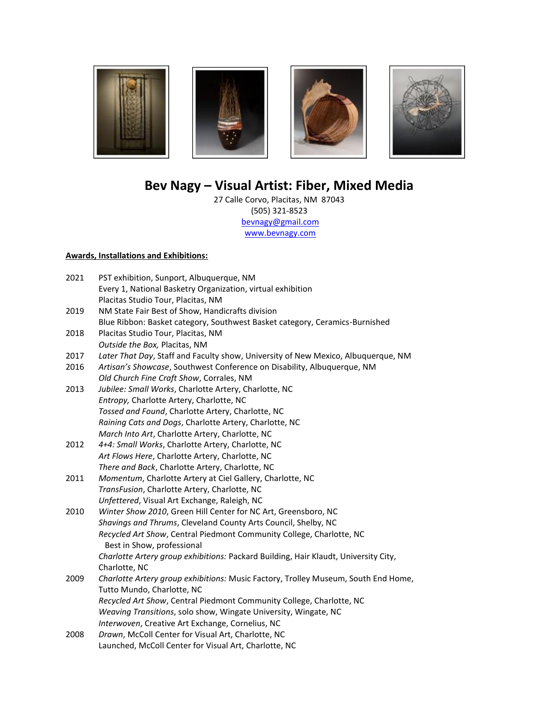

# **Bev Nagy – Visual Artist: Fiber, Mixed Media**

27 Calle Corvo, Placitas, NM 87043 (505) 321-8523 [bevnagy@gmail.com](mailto:bevnagy@gmail.com)  [www.bevnagy.com](http://www.bevnagy.com/)

## **Awards, Installations and Exhibitions:**

| 2021 | PST exhibition, Sunport, Albuquerque, NM                                                           |
|------|----------------------------------------------------------------------------------------------------|
|      | Every 1, National Basketry Organization, virtual exhibition                                        |
|      | Placitas Studio Tour, Placitas, NM                                                                 |
| 2019 | NM State Fair Best of Show, Handicrafts division                                                   |
|      | Blue Ribbon: Basket category, Southwest Basket category, Ceramics-Burnished                        |
| 2018 | Placitas Studio Tour, Placitas, NM                                                                 |
|      | Outside the Box, Placitas, NM                                                                      |
| 2017 | Later That Day, Staff and Faculty show, University of New Mexico, Albuquerque, NM                  |
| 2016 | Artisan's Showcase, Southwest Conference on Disability, Albuquerque, NM                            |
|      | Old Church Fine Craft Show, Corrales, NM                                                           |
| 2013 | Jubilee: Small Works, Charlotte Artery, Charlotte, NC                                              |
|      | Entropy, Charlotte Artery, Charlotte, NC                                                           |
|      | Tossed and Found, Charlotte Artery, Charlotte, NC                                                  |
|      | Raining Cats and Dogs, Charlotte Artery, Charlotte, NC                                             |
|      | March Into Art, Charlotte Artery, Charlotte, NC                                                    |
| 2012 | 4+4: Small Works, Charlotte Artery, Charlotte, NC                                                  |
|      | Art Flows Here, Charlotte Artery, Charlotte, NC                                                    |
|      | There and Back, Charlotte Artery, Charlotte, NC                                                    |
| 2011 | Momentum, Charlotte Artery at Ciel Gallery, Charlotte, NC                                          |
|      | TransFusion, Charlotte Artery, Charlotte, NC                                                       |
|      | Unfettered, Visual Art Exchange, Raleigh, NC                                                       |
| 2010 | Winter Show 2010, Green Hill Center for NC Art, Greensboro, NC                                     |
|      | Shavings and Thrums, Cleveland County Arts Council, Shelby, NC                                     |
|      | Recycled Art Show, Central Piedmont Community College, Charlotte, NC<br>Best in Show, professional |
|      | Charlotte Artery group exhibitions: Packard Building, Hair Klaudt, University City,                |
|      | Charlotte, NC                                                                                      |
| 2009 | Charlotte Artery group exhibitions: Music Factory, Trolley Museum, South End Home,                 |
|      | Tutto Mundo, Charlotte, NC                                                                         |
|      | Recycled Art Show, Central Piedmont Community College, Charlotte, NC                               |
|      | Weaving Transitions, solo show, Wingate University, Wingate, NC                                    |
|      | Interwoven, Creative Art Exchange, Cornelius, NC                                                   |
| 2008 | Drawn, McColl Center for Visual Art, Charlotte, NC                                                 |
|      | Launched, McColl Center for Visual Art, Charlotte, NC                                              |